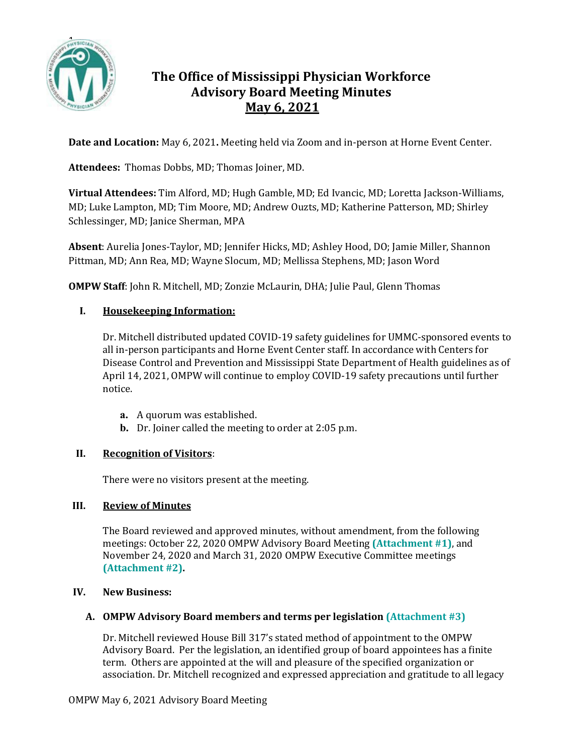

# **The Office of Mississippi Physician Workforce Advisory Board Meeting Minutes May 6, 2021**

**Date and Location:** May 6, 2021**.** Meeting held via Zoom and in-person at Horne Event Center.

**Attendees:** Thomas Dobbs, MD; Thomas Joiner, MD.

**Virtual Attendees:** Tim Alford, MD; Hugh Gamble, MD; Ed Ivancic, MD; Loretta Jackson-Williams, MD; Luke Lampton, MD; Tim Moore, MD; Andrew Ouzts, MD; Katherine Patterson, MD; Shirley Schlessinger, MD; Janice Sherman, MPA

**Absent**: Aurelia Jones-Taylor, MD; Jennifer Hicks, MD; Ashley Hood, DO; Jamie Miller, Shannon Pittman, MD; Ann Rea, MD; Wayne Slocum, MD; Mellissa Stephens, MD; Jason Word

**OMPW Staff**: John R. Mitchell, MD; Zonzie McLaurin, DHA; Julie Paul, Glenn Thomas

# **I. Housekeeping Information:**

Dr. Mitchell distributed updated COVID-19 safety guidelines for UMMC-sponsored events to all in-person participants and Horne Event Center staff. In accordance with Centers for Disease Control and Prevention and Mississippi State Department of Health guidelines as of April 14, 2021, OMPW will continue to employ COVID-19 safety precautions until further notice.

- **a.** A quorum was established.
- **b.** Dr. Joiner called the meeting to order at 2:05 p.m.

# **II. Recognition of Visitors**:

There were no visitors present at the meeting.

#### **III. Review of Minutes**

The Board reviewed and approved minutes, without amendment, from the following meetings: October 22, 2020 OMPW Advisory Board Meeting **(Attachment #1)**, and November 24, 2020 and March 31, 2020 OMPW Executive Committee meetings **(Attachment #2).**

#### **IV. New Business:**

#### **A. OMPW Advisory Board members and terms per legislation (Attachment #3)**

Dr. Mitchell reviewed House Bill 317's stated method of appointment to the OMPW Advisory Board. Per the legislation, an identified group of board appointees has a finite term. Others are appointed at the will and pleasure of the specified organization or association. Dr. Mitchell recognized and expressed appreciation and gratitude to all legacy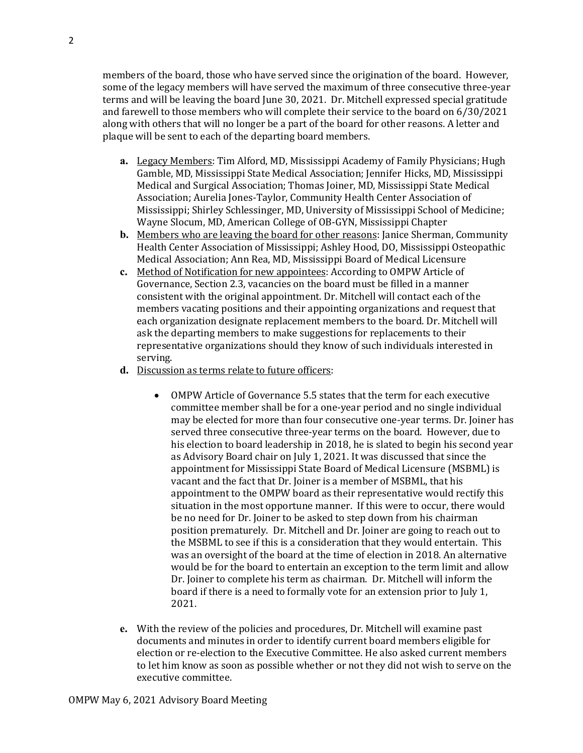members of the board, those who have served since the origination of the board. However, some of the legacy members will have served the maximum of three consecutive three-year terms and will be leaving the board June 30, 2021. Dr. Mitchell expressed special gratitude and farewell to those members who will complete their service to the board on 6/30/2021 along with others that will no longer be a part of the board for other reasons. A letter and plaque will be sent to each of the departing board members.

- **a.** Legacy Members: Tim Alford, MD, Mississippi Academy of Family Physicians; Hugh Gamble, MD, Mississippi State Medical Association; Jennifer Hicks, MD, Mississippi Medical and Surgical Association; Thomas Joiner, MD, Mississippi State Medical Association; Aurelia Jones-Taylor, Community Health Center Association of Mississippi; Shirley Schlessinger, MD, University of Mississippi School of Medicine; Wayne Slocum, MD, American College of OB-GYN, Mississippi Chapter
- **b.** Members who are leaving the board for other reasons: Janice Sherman, Community Health Center Association of Mississippi; Ashley Hood, DO, Mississippi Osteopathic Medical Association; Ann Rea, MD, Mississippi Board of Medical Licensure
- **c.** Method of Notification for new appointees: According to OMPW Article of Governance, Section 2.3, vacancies on the board must be filled in a manner consistent with the original appointment. Dr. Mitchell will contact each of the members vacating positions and their appointing organizations and request that each organization designate replacement members to the board. Dr. Mitchell will ask the departing members to make suggestions for replacements to their representative organizations should they know of such individuals interested in serving.
- **d.** Discussion as terms relate to future officers:
	- OMPW Article of Governance 5.5 states that the term for each executive committee member shall be for a one-year period and no single individual may be elected for more than four consecutive one-year terms. Dr. Joiner has served three consecutive three-year terms on the board. However, due to his election to board leadership in 2018, he is slated to begin his second year as Advisory Board chair on July 1, 2021. It was discussed that since the appointment for Mississippi State Board of Medical Licensure (MSBML) is vacant and the fact that Dr. Joiner is a member of MSBML, that his appointment to the OMPW board as their representative would rectify this situation in the most opportune manner. If this were to occur, there would be no need for Dr. Joiner to be asked to step down from his chairman position prematurely. Dr. Mitchell and Dr. Joiner are going to reach out to the MSBML to see if this is a consideration that they would entertain. This was an oversight of the board at the time of election in 2018. An alternative would be for the board to entertain an exception to the term limit and allow Dr. Joiner to complete his term as chairman. Dr. Mitchell will inform the board if there is a need to formally vote for an extension prior to July 1, 2021.
- **e.** With the review of the policies and procedures, Dr. Mitchell will examine past documents and minutes in order to identify current board members eligible for election or re-election to the Executive Committee. He also asked current members to let him know as soon as possible whether or not they did not wish to serve on the executive committee.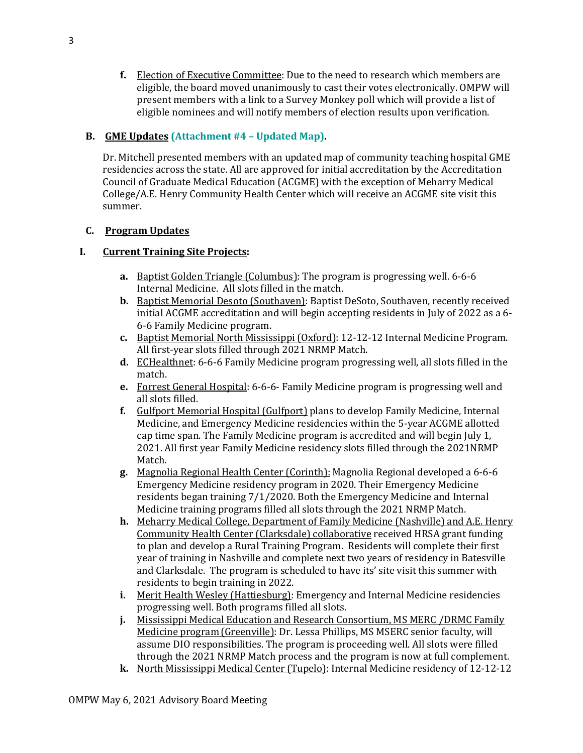**f.** Election of Executive Committee: Due to the need to research which members are eligible, the board moved unanimously to cast their votes electronically. OMPW will present members with a link to a Survey Monkey poll which will provide a list of eligible nominees and will notify members of election results upon verification.

# **B. GME Updates (Attachment #4 – Updated Map).**

Dr. Mitchell presented members with an updated map of community teaching hospital GME residencies across the state. All are approved for initial accreditation by the Accreditation Council of Graduate Medical Education (ACGME) with the exception of Meharry Medical College/A.E. Henry Community Health Center which will receive an ACGME site visit this summer.

# **C. Program Updates**

# **I. Current Training Site Projects:**

- **a.** Baptist Golden Triangle (Columbus): The program is progressing well. 6-6-6 Internal Medicine. All slots filled in the match.
- **b.** Baptist Memorial Desoto (Southaven): Baptist DeSoto, Southaven, recently received initial ACGME accreditation and will begin accepting residents in July of 2022 as a 6- 6-6 Family Medicine program.
- **c.** Baptist Memorial North Mississippi (Oxford): 12-12-12 Internal Medicine Program. All first-year slots filled through 2021 NRMP Match.
- **d.** ECHealthnet: 6-6-6 Family Medicine program progressing well, all slots filled in the match.
- **e.** Forrest General Hospital: 6-6-6- Family Medicine program is progressing well and all slots filled.
- **f.** Gulfport Memorial Hospital (Gulfport) plans to develop Family Medicine, Internal Medicine, and Emergency Medicine residencies within the 5-year ACGME allotted cap time span. The Family Medicine program is accredited and will begin July 1, 2021. All first year Family Medicine residency slots filled through the 2021NRMP Match.
- **g.** Magnolia Regional Health Center (Corinth): Magnolia Regional developed a 6-6-6 Emergency Medicine residency program in 2020. Their Emergency Medicine residents began training 7/1/2020. Both the Emergency Medicine and Internal Medicine training programs filled all slots through the 2021 NRMP Match.
- **h.** Meharry Medical College, Department of Family Medicine (Nashville) and A.E. Henry Community Health Center (Clarksdale) collaborative received HRSA grant funding to plan and develop a Rural Training Program. Residents will complete their first year of training in Nashville and complete next two years of residency in Batesville and Clarksdale. The program is scheduled to have its' site visit this summer with residents to begin training in 2022.
- **i.** Merit Health Wesley (Hattiesburg): Emergency and Internal Medicine residencies progressing well. Both programs filled all slots.
- **j.** Mississippi Medical Education and Research Consortium, MS MERC /DRMC Family Medicine program(Greenville): Dr. Lessa Phillips, MS MSERC senior faculty, will assume DIO responsibilities. The program is proceeding well. All slots were filled through the 2021 NRMP Match process and the program is now at full complement.
- **k.** North Mississippi Medical Center (Tupelo): Internal Medicine residency of 12-12-12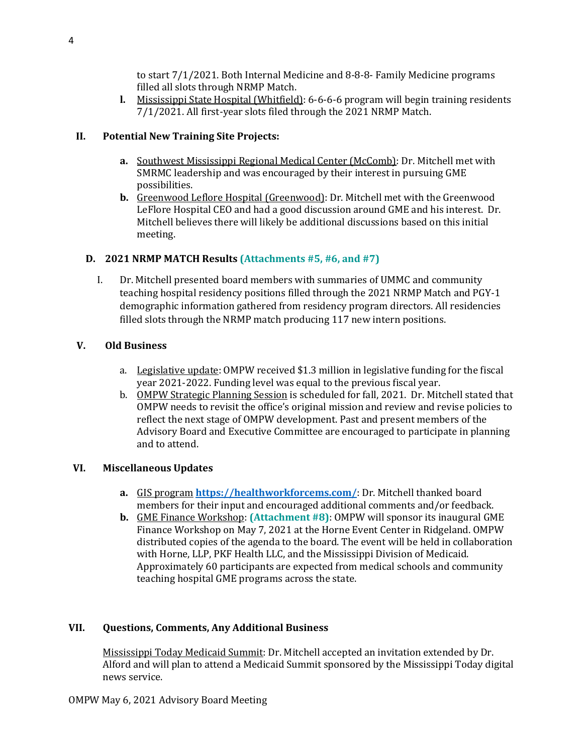to start 7/1/2021. Both Internal Medicine and 8-8-8- Family Medicine programs filled all slots through NRMP Match.

**l.** Mississippi State Hospital (Whitfield): 6-6-6-6 program will begin training residents 7/1/2021. All first-year slots filed through the 2021 NRMP Match.

# **II. Potential New Training Site Projects:**

- **a.** Southwest Mississippi Regional Medical Center (McComb): Dr. Mitchell met with SMRMC leadership and was encouraged by their interest in pursuing GME possibilities.
- **b.** Greenwood Leflore Hospital (Greenwood): Dr. Mitchell met with the Greenwood LeFlore Hospital CEO and had a good discussion around GME and his interest. Dr. Mitchell believes there will likely be additional discussions based on this initial meeting.

# **D. 2021 NRMP MATCH Results (Attachments #5, #6, and #7)**

I. Dr. Mitchell presented board members with summaries of UMMC and community teaching hospital residency positions filled through the 2021 NRMP Match and PGY-1 demographic information gathered from residency program directors. All residencies filled slots through the NRMP match producing 117 new intern positions.

#### **V. Old Business**

- a. Legislative update: OMPW received \$1.3 million in legislative funding for the fiscal year 2021-2022. Funding level was equal to the previous fiscal year.
- b. OMPW Strategic Planning Session is scheduled for fall, 2021. Dr. Mitchell stated that OMPW needs to revisit the office's original mission and review and revise policies to reflect the next stage of OMPW development. Past and present members of the Advisory Board and Executive Committee are encouraged to participate in planning and to attend.

#### **VI. Miscellaneous Updates**

- **a.** GIS program **<https://healthworkforcems.com/>**: Dr. Mitchell thanked board members for their input and encouraged additional comments and/or feedback.
- **b.** GME Finance Workshop: **(Attachment #8)**: OMPW will sponsor its inaugural GME Finance Workshop on May 7, 2021 at the Horne Event Center in Ridgeland. OMPW distributed copies of the agenda to the board. The event will be held in collaboration with Horne, LLP, PKF Health LLC, and the Mississippi Division of Medicaid. Approximately 60 participants are expected from medical schools and community teaching hospital GME programs across the state.

#### **VII. Questions, Comments, Any Additional Business**

Mississippi Today Medicaid Summit: Dr. Mitchell accepted an invitation extended by Dr. Alford and will plan to attend a Medicaid Summit sponsored by the Mississippi Today digital news service.